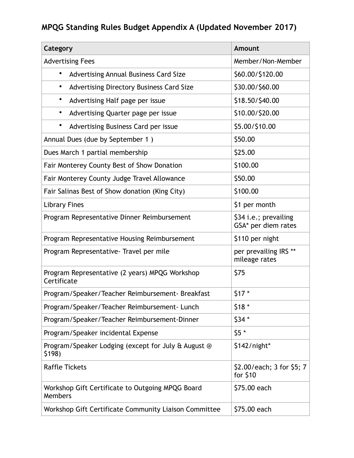## **MPQG Standing Rules Budget Appendix A (Updated November 2017)**

| Category                                                      | <b>Amount</b>                                |
|---------------------------------------------------------------|----------------------------------------------|
| <b>Advertising Fees</b>                                       | Member/Non-Member                            |
| ٠<br>Advertising Annual Business Card Size                    | \$60.00/\$120.00                             |
| Advertising Directory Business Card Size<br>٠                 | \$30.00/\$60.00                              |
| ٠<br>Advertising Half page per issue                          | \$18.50/\$40.00                              |
| Advertising Quarter page per issue<br>٠                       | \$10.00/\$20.00                              |
| ٠<br>Advertising Business Card per issue                      | \$5.00/\$10.00                               |
| Annual Dues (due by September 1)                              | \$50.00                                      |
| Dues March 1 partial membership                               | \$25.00                                      |
| Fair Monterey County Best of Show Donation                    | \$100.00                                     |
| Fair Monterey County Judge Travel Allowance                   | \$50.00                                      |
| Fair Salinas Best of Show donation (King City)                | \$100.00                                     |
| <b>Library Fines</b>                                          | \$1 per month                                |
| Program Representative Dinner Reimbursement                   | \$34 i.e.; prevailing<br>GSA* per diem rates |
| Program Representative Housing Reimbursement                  | \$110 per night                              |
| Program Representative - Travel per mile                      | per prevailing IRS **<br>mileage rates       |
| Program Representative (2 years) MPQG Workshop<br>Certificate | \$75                                         |
| Program/Speaker/Teacher Reimbursement- Breakfast              | $$17*$                                       |
| Program/Speaker/Teacher Reimbursement- Lunch                  | $$18*$                                       |
| Program/Speaker/Teacher Reimbursement-Dinner                  | $$34*$                                       |
| Program/Speaker incidental Expense                            | $$5*$                                        |
| Program/Speaker Lodging (except for July & August @<br>\$198) | $$142/night*$                                |
| <b>Raffle Tickets</b>                                         | \$2.00/each; 3 for \$5; 7<br>for $$10$       |
| Workshop Gift Certificate to Outgoing MPQG Board<br>Members   | \$75.00 each                                 |
| Workshop Gift Certificate Community Liaison Committee         | \$75.00 each                                 |